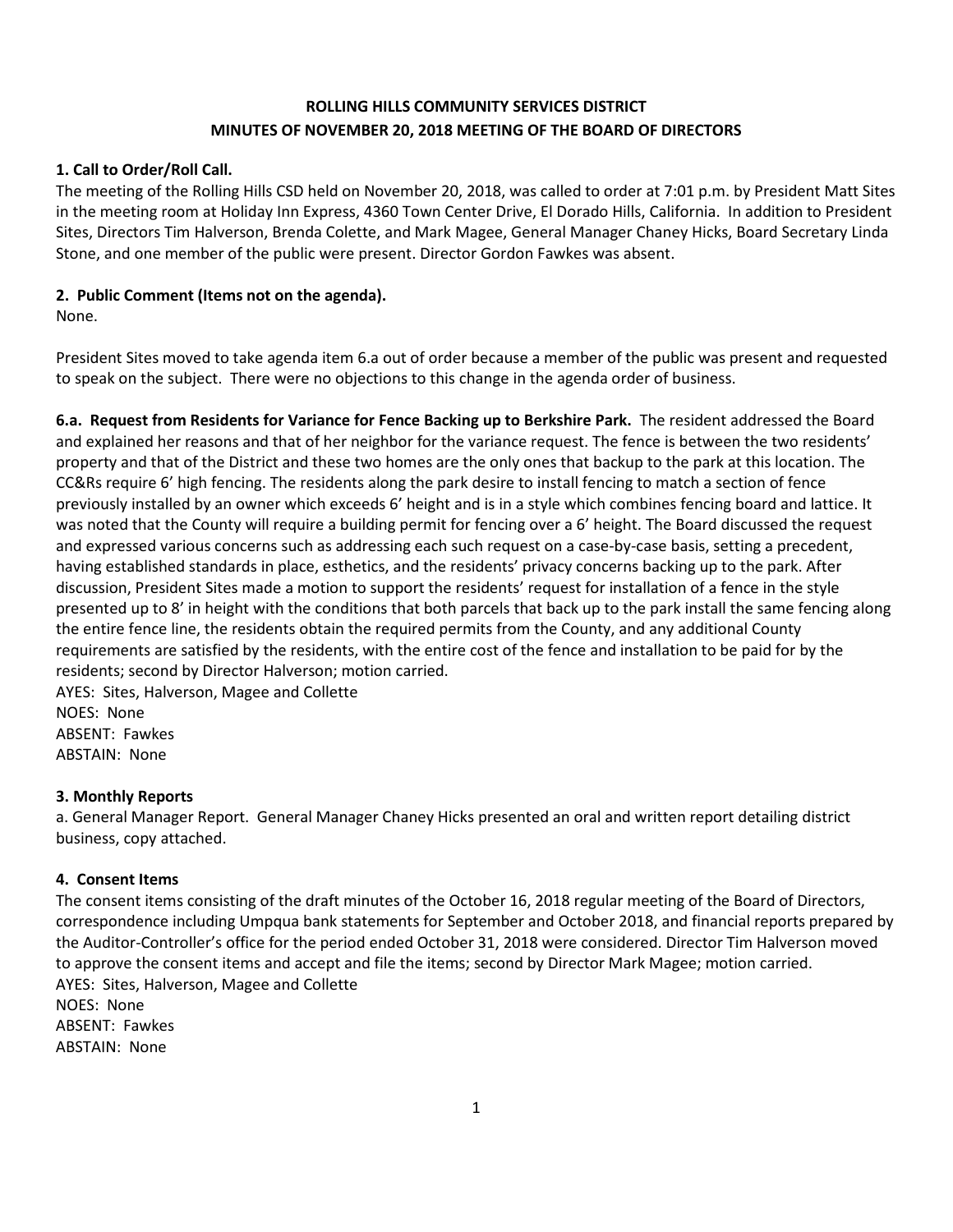# **ROLLING HILLS COMMUNITY SERVICES DISTRICT MINUTES OF NOVEMBER 20, 2018 MEETING OF THE BOARD OF DIRECTORS**

## **1. Call to Order/Roll Call.**

The meeting of the Rolling Hills CSD held on November 20, 2018, was called to order at 7:01 p.m. by President Matt Sites in the meeting room at Holiday Inn Express, 4360 Town Center Drive, El Dorado Hills, California. In addition to President Sites, Directors Tim Halverson, Brenda Colette, and Mark Magee, General Manager Chaney Hicks, Board Secretary Linda Stone, and one member of the public were present. Director Gordon Fawkes was absent.

## **2. Public Comment (Items not on the agenda).**

None.

President Sites moved to take agenda item 6.a out of order because a member of the public was present and requested to speak on the subject. There were no objections to this change in the agenda order of business.

**6.a. Request from Residents for Variance for Fence Backing up to Berkshire Park.** The resident addressed the Board and explained her reasons and that of her neighbor for the variance request. The fence is between the two residents' property and that of the District and these two homes are the only ones that backup to the park at this location. The CC&Rs require 6' high fencing. The residents along the park desire to install fencing to match a section of fence previously installed by an owner which exceeds 6' height and is in a style which combines fencing board and lattice. It was noted that the County will require a building permit for fencing over a 6' height. The Board discussed the request and expressed various concerns such as addressing each such request on a case-by-case basis, setting a precedent, having established standards in place, esthetics, and the residents' privacy concerns backing up to the park. After discussion, President Sites made a motion to support the residents' request for installation of a fence in the style presented up to 8' in height with the conditions that both parcels that back up to the park install the same fencing along the entire fence line, the residents obtain the required permits from the County, and any additional County requirements are satisfied by the residents, with the entire cost of the fence and installation to be paid for by the residents; second by Director Halverson; motion carried.

AYES: Sites, Halverson, Magee and Collette NOES: None ABSENT: Fawkes ABSTAIN: None

## **3. Monthly Reports**

a. General Manager Report. General Manager Chaney Hicks presented an oral and written report detailing district business, copy attached.

## **4. Consent Items**

The consent items consisting of the draft minutes of the October 16, 2018 regular meeting of the Board of Directors, correspondence including Umpqua bank statements for September and October 2018, and financial reports prepared by the Auditor-Controller's office for the period ended October 31, 2018 were considered. Director Tim Halverson moved to approve the consent items and accept and file the items; second by Director Mark Magee; motion carried. AYES: Sites, Halverson, Magee and Collette NOES: None ABSENT: Fawkes

ABSTAIN: None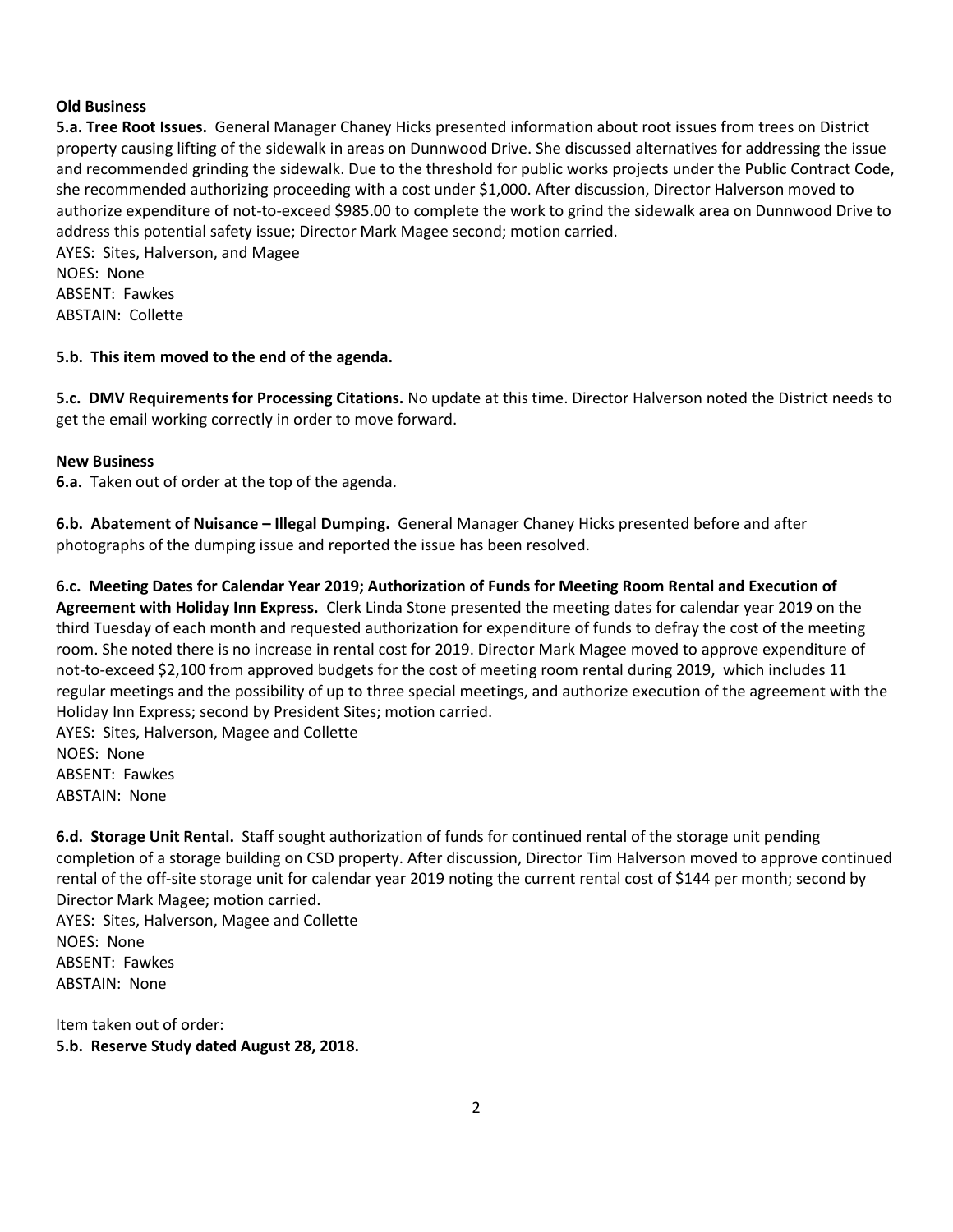#### **Old Business**

**5.a. Tree Root Issues.** General Manager Chaney Hicks presented information about root issues from trees on District property causing lifting of the sidewalk in areas on Dunnwood Drive. She discussed alternatives for addressing the issue and recommended grinding the sidewalk. Due to the threshold for public works projects under the Public Contract Code, she recommended authorizing proceeding with a cost under \$1,000. After discussion, Director Halverson moved to authorize expenditure of not-to-exceed \$985.00 to complete the work to grind the sidewalk area on Dunnwood Drive to address this potential safety issue; Director Mark Magee second; motion carried.

AYES: Sites, Halverson, and Magee NOES: None ABSENT: Fawkes ABSTAIN: Collette

#### **5.b. This item moved to the end of the agenda.**

**5.c. DMV Requirements for Processing Citations.** No update at this time. Director Halverson noted the District needs to get the email working correctly in order to move forward.

#### **New Business**

**6.a.** Taken out of order at the top of the agenda.

**6.b. Abatement of Nuisance – Illegal Dumping.** General Manager Chaney Hicks presented before and after photographs of the dumping issue and reported the issue has been resolved.

**6.c. Meeting Dates for Calendar Year 2019; Authorization of Funds for Meeting Room Rental and Execution of Agreement with Holiday Inn Express.** Clerk Linda Stone presented the meeting dates for calendar year 2019 on the third Tuesday of each month and requested authorization for expenditure of funds to defray the cost of the meeting room. She noted there is no increase in rental cost for 2019. Director Mark Magee moved to approve expenditure of not-to-exceed \$2,100 from approved budgets for the cost of meeting room rental during 2019, which includes 11 regular meetings and the possibility of up to three special meetings, and authorize execution of the agreement with the Holiday Inn Express; second by President Sites; motion carried.

AYES: Sites, Halverson, Magee and Collette NOES: None ABSENT: Fawkes ABSTAIN: None

**6.d. Storage Unit Rental.** Staff sought authorization of funds for continued rental of the storage unit pending completion of a storage building on CSD property. After discussion, Director Tim Halverson moved to approve continued rental of the off-site storage unit for calendar year 2019 noting the current rental cost of \$144 per month; second by Director Mark Magee; motion carried. AYES: Sites, Halverson, Magee and Collette

NOES: None ABSENT: Fawkes ABSTAIN: None

Item taken out of order: **5.b. Reserve Study dated August 28, 2018.**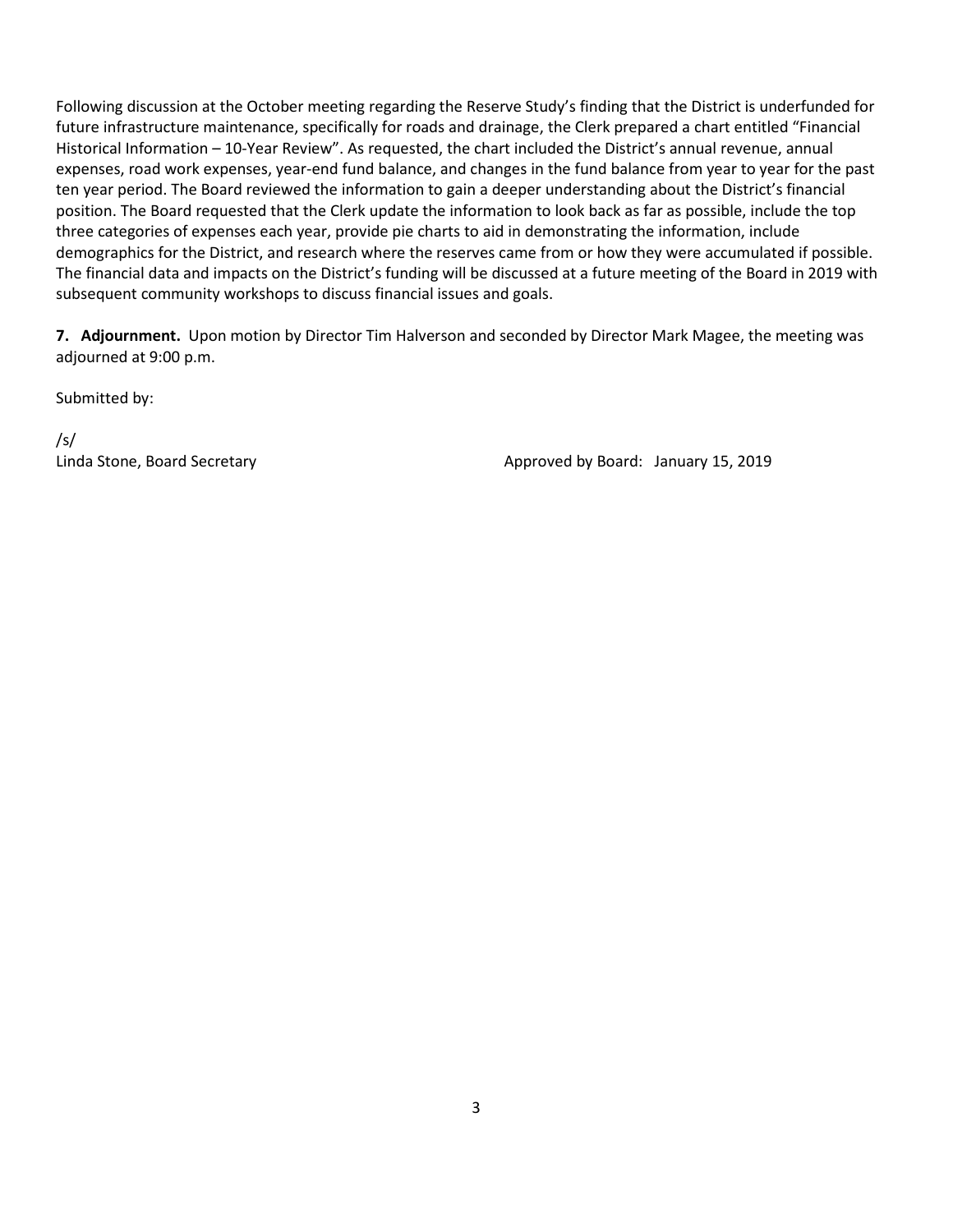Following discussion at the October meeting regarding the Reserve Study's finding that the District is underfunded for future infrastructure maintenance, specifically for roads and drainage, the Clerk prepared a chart entitled "Financial Historical Information – 10-Year Review". As requested, the chart included the District's annual revenue, annual expenses, road work expenses, year-end fund balance, and changes in the fund balance from year to year for the past ten year period. The Board reviewed the information to gain a deeper understanding about the District's financial position. The Board requested that the Clerk update the information to look back as far as possible, include the top three categories of expenses each year, provide pie charts to aid in demonstrating the information, include demographics for the District, and research where the reserves came from or how they were accumulated if possible. The financial data and impacts on the District's funding will be discussed at a future meeting of the Board in 2019 with subsequent community workshops to discuss financial issues and goals.

**7. Adjournment.** Upon motion by Director Tim Halverson and seconded by Director Mark Magee, the meeting was adjourned at 9:00 p.m.

Submitted by:

/s/

Linda Stone, Board Secretary **Approved by Board: January 15, 2019**